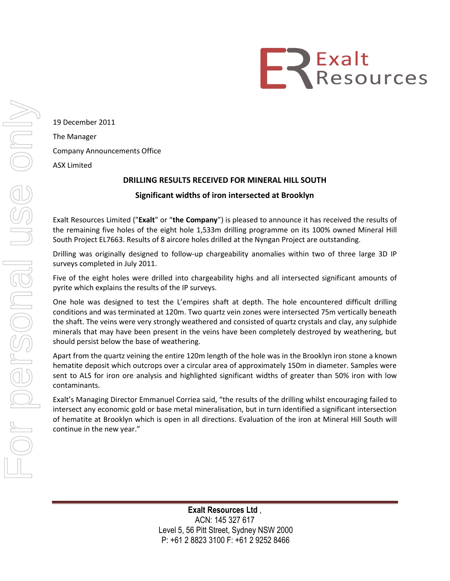

19 December 2011 The Manager Company Announcements Office ASX Limited

## **DRILLING RESULTS RECEIVED FOR MINERAL HILL SOUTH**

## **Significant widths of iron intersected at Brooklyn**

Exalt Resources Limited ("**Exalt**" or "**the Company**") is pleased to announce it has received the results of the remaining five holes of the eight hole 1,533m drilling programme on its 100% owned Mineral Hill South Project EL7663. Results of 8 aircore holes drilled at the Nyngan Project are outstanding.

Drilling was originally designed to follow-up chargeability anomalies within two of three large 3D IP surveys completed in July 2011.

Five of the eight holes were drilled into chargeability highs and all intersected significant amounts of pyrite which explains the results of the IP surveys.

One hole was designed to test the L'empires shaft at depth. The hole encountered difficult drilling conditions and was terminated at 120m. Two quartz vein zones were intersected 75m vertically beneath the shaft. The veins were very strongly weathered and consisted of quartz crystals and clay, any sulphide minerals that may have been present in the veins have been completely destroyed by weathering, but should persist below the base of weathering.

Apart from the quartz veining the entire 120m length of the hole was in the Brooklyn iron stone a known hematite deposit which outcrops over a circular area of approximately 150m in diameter. Samples were sent to ALS for iron ore analysis and highlighted significant widths of greater than 50% iron with low contaminants.

Exalt's Managing Director Emmanuel Corriea said, "the results of the drilling whilst encouraging failed to intersect any economic gold or base metal mineralisation, but in turn identified a significant intersection of hematite at Brooklyn which is open in all directions. Evaluation of the iron at Mineral Hill South will continue in the new year."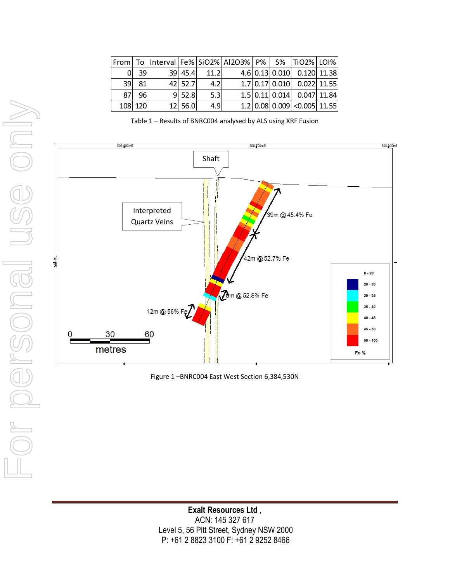|    |         |          |      | From   To  Interval   Fe%   SiO2%   AI2O3%   P%   S%   TiO2%   LOI% |  |                             |  |
|----|---------|----------|------|---------------------------------------------------------------------|--|-----------------------------|--|
|    | 39I     | 39 45.4  | 11.2 |                                                                     |  | 4.6 0.13 0.010 0.120 11.38  |  |
| 39 | 81      | 42 52.7  | 4.2  |                                                                     |  | 1.7 0.17 0.010 0.022 11.55  |  |
| 87 | 96      | $9$ 52.8 | 5.3  |                                                                     |  | 1.5 0.11 0.014 0.047 11.84  |  |
|    | 108 120 | 12 56.0  | 4.9  |                                                                     |  | 1.2 0.08 0.009 <0.005 11.55 |  |

Table 1 – Results of BNRC004 analysed by ALS using XRF Fusion



Figure 1 –BNRC004 East West Section 6,384,530N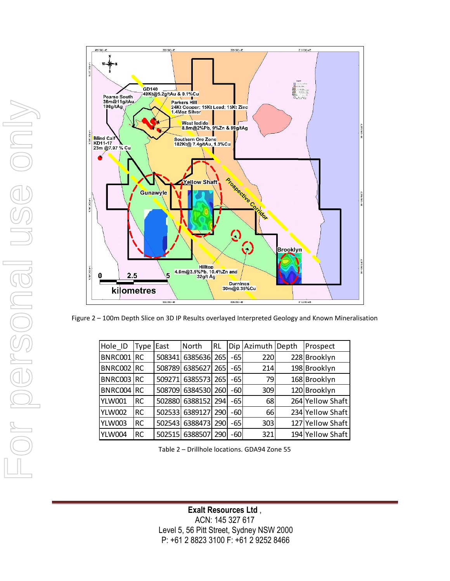

Figure 2 – 100m Depth Slice on 3D IP Results overlayed Interpreted Geology and Known Mineralisation

| Hole_ID    | Tvpe      | East   | North   | <b>RL</b> |     | Dip Azimuth | Depth | Prospect         |
|------------|-----------|--------|---------|-----------|-----|-------------|-------|------------------|
| BNRC001 RC |           | 508341 | 6385636 | 265       | -65 | 220         |       | 228 Brooklyn     |
| BNRC002 RC |           | 508789 | 6385627 | 265       | -65 | 214         |       | 198 Brooklyn     |
| BNRC003    | <b>RC</b> | 509271 | 6385573 | 265       | -65 | 79          |       | 168 Brooklyn     |
| BNRC004    | RC        | 508709 | 6384530 | 260       | -60 | 309         |       | 120 Brooklyn     |
| YLW001     | <b>RC</b> | 502880 | 6388152 | 294       | -65 | 68          |       | 264 Yellow Shaft |
| YLW002     | RC        | 502533 | 6389127 | 290       | -60 | 66          |       | 234 Yellow Shaft |
| YLW003     | RC        | 502543 | 6388473 | 2901      | -65 | 303         |       | 127 Yellow Shaft |
| YLW004     | <b>RC</b> | 502515 | 6388507 | 2901      | -60 | 321         |       | 194 Yellow Shaft |

Table 2 – Drillhole locations. GDA94 Zone 55